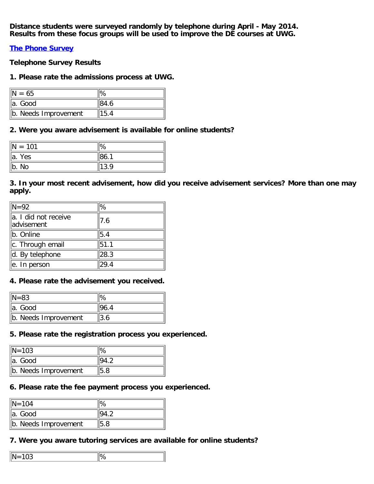**Distance students were surveyed randomly by telephone during April - May 2014. Results from these focus groups will be used to improve the DE courses at UWG.**

**[The Phone Survey](https://www.surveymonkey.com/s/2014UWGOSpringSurvey)**

**Telephone Survey Results**

## **1. Please rate the admissions process at UWG.**

| $= 65$               |      |
|----------------------|------|
| ∥a. Good             | 84.6 |
| b. Needs Improvement | 15.4 |

## **2. Were you aware advisement is available for online students?**

| $= 101$     | '∣%  |
|-------------|------|
| Yes<br>lla. | 86.1 |
| ∥b. No      | 13.9 |

# **3. In your most recent advisement, how did you receive advisement services? More than one may apply.**

| $\mathsf{IN} = 92$                 | %'   |
|------------------------------------|------|
| a. I did not receive<br>advisement | 7.6  |
| b. Online                          | 5.4  |
| c. Through email                   | 51.1 |
| d. By telephone                    | 28.3 |
| e. In person                       | 29.4 |

## **4. Please rate the advisement you received.**

| $\text{IN} = 83$     |     |
|----------------------|-----|
| lla. Good            |     |
| b. Needs Improvement | 3.6 |

### **5. Please rate the registration process you experienced.**

| $\text{IN} = 103$    |      |
|----------------------|------|
| lla. Good            |      |
| b. Needs Improvement | 15.8 |

## **6. Please rate the fee payment process you experienced.**

| $\text{IN} = 104$    |     |
|----------------------|-----|
| ∥a. Good             |     |
| b. Needs Improvement | 5.8 |

## **7. Were you aware tutoring services are available for online students?**

| - -<br>Ι٨<br>Ш.       |  |
|-----------------------|--|
| $\cdot$ $\sim$ $\sim$ |  |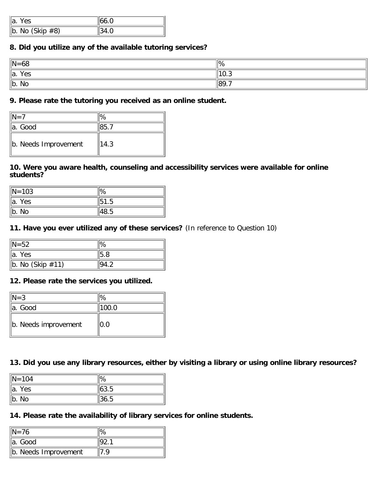| ∥a.<br>Yes.          |  |
|----------------------|--|
| $\ $ b. No (Skip #8) |  |

## **8. Did you utilize any of the available tutoring services?**

| $\vert N = 68$ | ∥%               |
|----------------|------------------|
| Yes<br>∥a.     | $\parallel$ 10.3 |
| ∥b. No         | $\ 89.7$         |

# **9. Please rate the tutoring you received as an online student.**

| $=7$                 |      |
|----------------------|------|
| lla. Good            |      |
| b. Needs Improvement | 14.3 |

## **10. Were you aware health, counseling and accessibility services were available for online students?**

| $\text{N} = 103$ | 'l%  |
|------------------|------|
| lla. Yes         | 51.5 |
| $\ $ b. No       | 48.5 |

## **11. Have you ever utilized any of these services?** (In reference to Question 10)

| $\parallel$ N=52      | '∣%  |
|-----------------------|------|
| $\parallel$ a. Yes    | 15.8 |
| $\ $ b. No (Skip #11) | 94.2 |

## **12. Please rate the services you utilized.**

| $ N=3$               | $\%$  |
|----------------------|-------|
| la. Good             | 100.0 |
| b. Needs improvement | 0.0   |

## **13. Did you use any library resources, either by visiting a library or using online library resources?**

| $\sqrt{N}$ = 104             | ୍″ା%             |
|------------------------------|------------------|
| $\overline{a}$ .<br>Yes      | $\parallel$ 63.5 |
| $\overline{\mathsf{b}}$ . No | 36.5             |

# **14. Please rate the availability of library services for online students.**

| $IN = 76$            |  |
|----------------------|--|
| ∥a. Good             |  |
| b. Needs Improvement |  |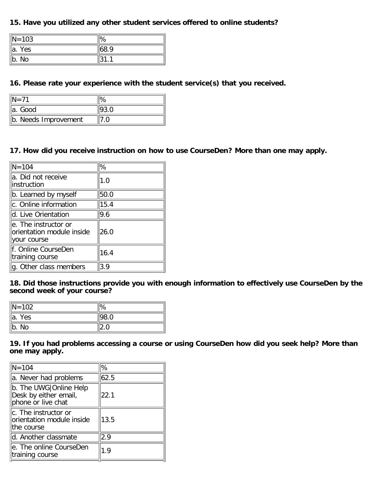# **15. Have you utilized any other student services offered to online students?**

| $\ N=103\ $ | '%   |
|-------------|------|
| Yes<br>¶a.  | 68.9 |
| No<br>¶b.   |      |

# **16. Please rate your experience with the student service(s) that you received.**

| lla. Good            |  |
|----------------------|--|
| b. Needs Improvement |  |

# **17. How did you receive instruction on how to use CourseDen? More than one may apply.**

| $\sqrt{N} = 104$                                                  | %    |
|-------------------------------------------------------------------|------|
| a. Did not receive<br>linstruction                                | 1.0  |
| b. Learned by myself                                              | 50.0 |
| c. Online information                                             | 15.4 |
| d. Live Orientation                                               | 9.6  |
| le. The instructor or<br>orientation module inside<br>your course | 26.0 |
| f. Online CourseDen<br>training course                            | 16.4 |
| g. Other class members                                            | 3.9  |

**18. Did those instructions provide you with enough information to effectively use CourseDen by the second week of your course?**

| $\sqrt{N}$ = 102             | '%'  |
|------------------------------|------|
| ∥a. Yes                      | 98.0 |
| $\overline{\mathsf{b}}$ . No |      |

**19. If you had problems accessing a course or using CourseDen how did you seek help? More than one may apply.**

| $N = 104$                                                               | %    |
|-------------------------------------------------------------------------|------|
| a. Never had problems                                                   | 62.5 |
| b. The UWG   Online Help<br>Desk by either email,<br>phone or live chat | 22.1 |
| c. The instructor or<br>orientation module inside<br>the course         | 13.5 |
| d. Another classmate                                                    | 2.9  |
| e. The online CourseDen<br>training course                              | 1.9  |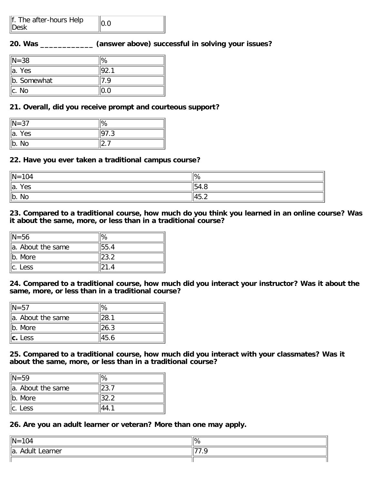| f. The after-hours Help<br>$\ $ Desk |  |
|--------------------------------------|--|
|--------------------------------------|--|

## **20. Was \_\_\_\_\_\_\_\_\_\_\_\_ (answer above) successful in solving your issues?**

| $\mathsf{N}=38$ | ''% |
|-----------------|-----|
| lla. Yes        |     |
| b. Somewhat     |     |
| llc. No         |     |

### **21. Overall, did you receive prompt and courteous support?**

| $\ N=37$           | '%          |
|--------------------|-------------|
| $\parallel$ a. Yes | ∣Q⊺<br>ن. ا |
| ∥b. No             |             |

#### **22. Have you ever taken a traditional campus course?**

| $\ N = 104$           | ¶%               |
|-----------------------|------------------|
| $\parallel$ a.<br>Yes | $\parallel$ 54.8 |
| $\ $ b. No            | $\frac{45.2}{ }$ |

#### **23. Compared to a traditional course, how much do you think you learned in an online course? Was it about the same, more, or less than in a traditional course?**

| $\text{IN} = 56$   |       |
|--------------------|-------|
| la. About the same | 55.4  |
| $\ $ b. More       | 23.2  |
| $\ c.$ Less        | 121.4 |

**24. Compared to a traditional course, how much did you interact your instructor? Was it about the same, more, or less than in a traditional course?**

| $N = 57$          | '%   |
|-------------------|------|
| a. About the same | 28.1 |
| Ib. More          | 26.3 |
| $\ c.$ Less       | 45.6 |

**25. Compared to a traditional course, how much did you interact with your classmates? Was it about the same, more, or less than in a traditional course?**

| $\text{IN} = 59$    | $\%$ |
|---------------------|------|
| lla. About the same |      |
| ∥b. More            | 32.2 |
| $\ $ c. Less        |      |

**26. Are you an adult learner or veteran? More than one may apply.**

| $\parallel$ N =<br>$-104$           | ¶% |
|-------------------------------------|----|
| $\parallel a$ .<br>Learner<br>Adult |    |
|                                     |    |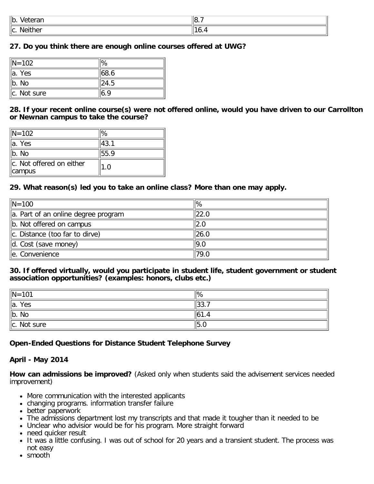| ∥b.<br>100000<br>$\mathbf{u}$<br>۰dl.               | -<br>$\parallel$ 8. . |
|-----------------------------------------------------|-----------------------|
| $\cdots$<br>llC.<br><b>Neither</b><br>- - - - - - - | . -                   |

## **27. Do you think there are enough online courses offered at UWG?**

| $\ N=102\ $  |       |
|--------------|-------|
| la. Yes      | 168.6 |
| b. No        | 24.5  |
| Ic. Not sure |       |

**28. If your recent online course(s) were not offered online, would you have driven to our Carrollton or Newnan campus to take the course?**

| $\text{IN} = 102$                                   | 1%   |
|-----------------------------------------------------|------|
| <sup>∥</sup> a. Yes                                 | 43.1 |
| b. N <sub>0</sub>                                   | 55.9 |
| $\ $ c. Not offered on either<br>$\parallel$ campus | 1.0  |

## **29. What reason(s) led you to take an online class? More than one may apply.**

| $\sqrt{N}$ = 100                    | ' %  |
|-------------------------------------|------|
| a. Part of an online degree program | 22.0 |
| $\ $ b. Not offered on campus       | 2.0  |
| $\ c.$ Distance (too far to dirve)  | 26.0 |
| $\overline{d}$ . Cost (save money)  | 19.0 |
| le. Convenience                     | 79.0 |

#### **30. If offered virtually, would you participate in student life, student government or student association opportunities? (examples: honors, clubs etc.)**

| $\ N=101$             | $\mathbb{R}$     |
|-----------------------|------------------|
| Yes<br>$\parallel$ a. | $\parallel$ 33., |
| $\ $ b.<br>No         | ∥61.4            |
| $\ c.$ Not sure       | 5.0              |

## **Open-Ended Questions for Distance Student Telephone Survey**

#### **April - May 2014**

**How can admissions be improved?** (Asked only when students said the advisement services needed improvement)

- More communication with the interested applicants
- changing programs. information transfer failure
- better paperwork
- The admissions department lost my transcripts and that made it tougher than it needed to be
- Unclear who advisior would be for his program. More straight forward
- need quicker result
- It was a little confusing. I was out of school for 20 years and a transient student. The process was not easy
- smooth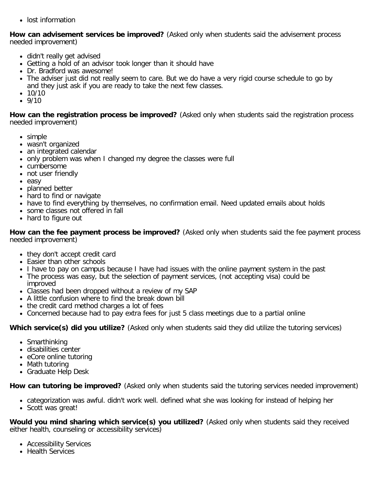• lost information

**How can advisement services be improved?** (Asked only when students said the advisement process needed improvement)

- didn't really get advised
- Getting a hold of an advisor took longer than it should have
- Dr. Bradford was awesome!
- The adviser just did not really seem to care. But we do have a very rigid course schedule to go by and they just ask if you are ready to take the next few classes.
- $\bullet$  10/10
- $9/10$

**How can the registration process be improved?** (Asked only when students said the registration process needed improvement)

- simple
- wasn't organized
- an integrated calendar
- only problem was when I changed my degree the classes were full
- cumbersome
- not user friendly
- easy
- planned better
- hard to find or navigate
- have to find everything by themselves, no confirmation email. Need updated emails about holds
- some classes not offered in fall
- hard to figure out

**How can the fee payment process be improved?** (Asked only when students said the fee payment process needed improvement)

- they don't accept credit card
- Easier than other schools
- I have to pay on campus because I have had issues with the online payment system in the past
- The process was easy, but the selection of payment services, (not accepting visa) could be
- improved Classes had been dropped without a review of my SAP
- A little confusion where to find the break down bill
- the credit card method charges a lot of fees
- Concerned because had to pay extra fees for just 5 class meetings due to a partial online

**Which service(s) did you utilize?** (Asked only when students said they did utilize the tutoring services)

- Smarthinking
- disabilities center
- eCore online tutoring
- Math tutoring
- Graduate Help Desk

**How can tutoring be improved?** (Asked only when students said the tutoring services needed improvement)

categorization was awful. didn't work well. defined what she was looking for instead of helping her

• Scott was great!

**Would you mind sharing which service(s) you utilized?** (Asked only when students said they received either health, counseling or accessibility services)

- Accessibility Services
- Health Services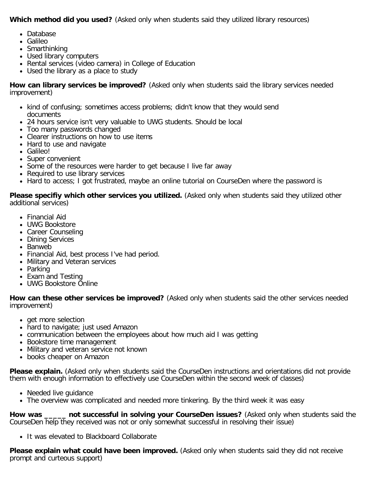**Which method did you used?** (Asked only when students said they utilized library resources)

- Database
- Galileo
- Smarthinking
- Used library computers
- Rental services (video camera) in College of Education
- Used the library as a place to study

**How can library services be improved?** (Asked only when students said the library services needed improvement)

- kind of confusing; sometimes access problems; didn't know that they would send documents
- 24 hours service isn't very valuable to UWG students. Should be local
- Too many passwords changed
- Clearer instructions on how to use items
- Hard to use and navigate
- Galileo!
- Super convenient
- Some of the resources were harder to get because I live far away
- Required to use library services
- Hard to access; I got frustrated, maybe an online tutorial on CourseDen where the password is

**Please specifiy which other services you utilized.** (Asked only when students said they utilized other additional services)

- Financial Aid
- UWG Bookstore
- Career Counseling
- Dining Services
- Banweb
- Financial Aid, best process I've had period.
- Military and Veteran services
- Parking
- Exam and Testing
- UWG Bookstore Online

**How can these other services be improved?** (Asked only when students said the other services needed improvement)

- get more selection
- hard to navigate; just used Amazon
- communication between the employees about how much aid I was getting
- Bookstore time management
- Military and veteran service not known
- books cheaper on Amazon

**Please explain.** (Asked only when students said the CourseDen instructions and orientations did not provide them with enough information to effectively use CourseDen within the second week of classes)

- Needed live guidance
- The overview was complicated and needed more tinkering. By the third week it was easy

**How was \_\_\_\_\_ not successful in solving your CourseDen issues?** (Asked only when students said the CourseDen help they received was not or only somewhat successful in resolving their issue)

• It was elevated to Blackboard Collaborate

**Please explain what could have been improved.** (Asked only when students said they did not receive prompt and curteous support)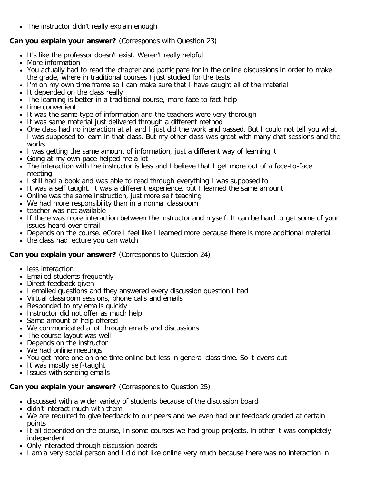The instructor didn't really explain enough

## **Can you explain your answer?** (Corresponds with Question 23)

- It's like the professor doesn't exist. Weren't really helpful
- More information
- You actually had to read the chapter and participate for in the online discussions in order to make the grade, where in traditional courses I just studied for the tests
- I'm on my own time frame so I can make sure that I have caught all of the material
- It depended on the class really
- The learning is better in a traditional course, more face to fact help
- time convenient
- It was the same type of information and the teachers were very thorough
- It was same material just delivered through a different method
- One class had no interaction at all and I just did the work and passed. But I could not tell you what I was supposed to learn in that class. But my other class was great with many chat sessions and the works
- I was getting the same amount of information, just a different way of learning it
- Going at my own pace helped me a lot
- The interaction with the instructor is less and I believe that I get more out of a face-to-face meeting
- I still had a book and was able to read through everything I was supposed to
- It was a self taught. It was a different experience, but I learned the same amount
- Online was the same instruction, just more self teaching
- We had more responsibility than in a normal classroom
- teacher was not available
- If there was more interaction between the instructor and myself. It can be hard to get some of your issues heard over email
- Depends on the course. eCore I feel like I learned more because there is more additional material
- the class had lecture you can watch

## **Can you explain your answer?** (Corresponds to Question 24)

- less interaction
- Emailed students frequently
- Direct feedback given
- I emailed questions and they answered every discussion question I had
- Virtual classroom sessions, phone calls and emails
- Responded to my emails quickly
- Instructor did not offer as much help
- Same amount of help offered
- We communicated a lot through emails and discussions
- The course layout was well
- Depends on the instructor
- We had online meetings
- You get more one on one time online but less in general class time. So it evens out
- It was mostly self-taught
- Issues with sending emails

## **Can you explain your answer?** (Corresponds to Question 25)

- discussed with a wider variety of students because of the discussion board
- didn't interact much with them
- We are required to give feedback to our peers and we even had our feedback graded at certain points
- It all depended on the course, In some courses we had group projects, in other it was completely independent
- Only interacted through discussion boards
- I am a very social person and I did not like online very much because there was no interaction in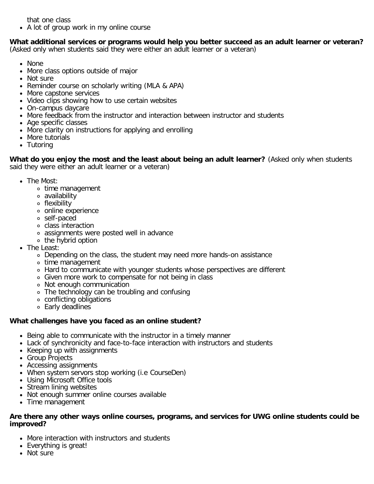that one class

• A lot of group work in my online course

#### **What additional services or programs would help you better succeed as an adult learner or veteran?** (Asked only when students said they were either an adult learner or a veteran)

- None
- More class options outside of major
- Not sure
- Reminder course on scholarly writing (MLA & APA)
- More capstone services
- Video clips showing how to use certain websites
- On-campus daycare
- More feedback from the instructor and interaction between instructor and students
- Age specific classes
- More clarity on instructions for applying and enrolling
- More tutorials
- Tutoring

**What do you enjoy the most and the least about being an adult learner?** (Asked only when students said they were either an adult learner or a veteran)

- The Most:
	- time management
	- availability
	- flexibility
	- online experience
	- self-paced
	- class interaction
	- assignments were posted well in advance
	- the hybrid option
- The Least:
	- Depending on the class, the student may need more hands-on assistance
	- time management
	- Hard to communicate with younger students whose perspectives are different
	- Given more work to compensate for not being in class
	- Not enough communication
	- The technology can be troubling and confusing
	- conflicting obligations
	- Early deadlines

## **What challenges have you faced as an online student?**

- Being able to communicate with the instructor in a timely manner
- Lack of synchronicity and face-to-face interaction with instructors and students
- Keeping up with assignments
- Group Projects
- Accessing assignments
- When system servors stop working (i.e CourseDen)
- Using Microsoft Office tools
- Stream lining websites
- Not enough summer online courses available
- Time management

#### **Are there any other ways online courses, programs, and services for UWG online students could be improved?**

- More interaction with instructors and students
- Everything is great!
- Not sure